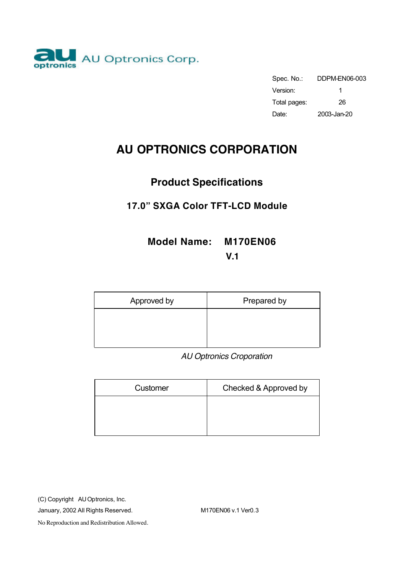

| Spec. No.:   | DDPM-EN06-003 |
|--------------|---------------|
| Version:     |               |
| Total pages: | 26            |
| Date:        | 2003-Jan-20   |

# **AU OPTRONICS CORPORATION**

# **Product Specifications**

# **17.0" SXGA Color TFT-LCD Module**

# **Model Name: M170EN06**

**V.1**

| Approved by | Prepared by |
|-------------|-------------|
|             |             |
|             |             |

 *AU Optronics Croporation*

| Customer | Checked & Approved by |
|----------|-----------------------|
|          |                       |
|          |                       |
|          |                       |

(C) Copyright AU Optronics, Inc.

January, 2002 All Rights Reserved. M170EN06 v.1 Ver0.3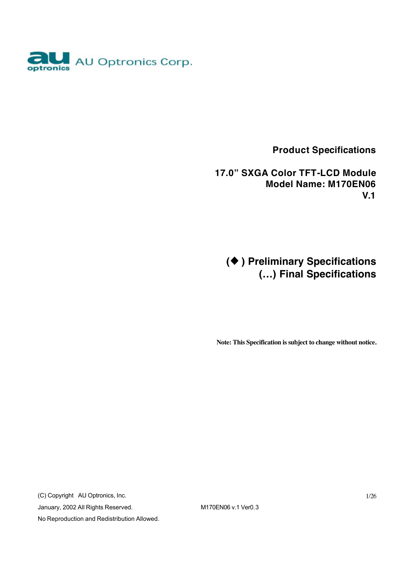

 **Product Specifications**

 **17.0" SXGA Color TFT-LCD Module Model Name: M170EN06 V.1**

**(**u **) Preliminary Specifications (…) Final Specifications**

**Note: This Specification is subject to change without notice.**

(C) Copyright AU Optronics, Inc. January, 2002 All Rights Reserved. M170EN06 v.1 Ver0.3 No Reproduction and Redistribution Allowed.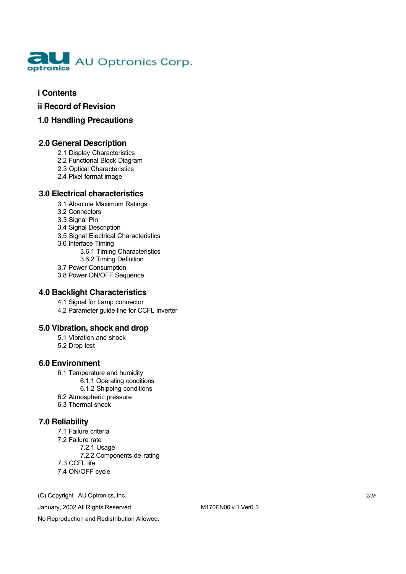

#### **i Contents**

- **ii Record of Revision**
- **1.0 Handling Precautions**

#### **2.0 General Description**

- 2.1 Display Characteristics
- 2.2 Functional Block Diagram
- 2.3 Optical Characteristics
- 2.4 Pixel format image

#### **3.0 Electrical characteristics**

- 3.1 Absolute Maximum Ratings
- 3.2 Connectors
- 3.3 Signal Pin
- 3.4 Signal Description
- 3.5 Signal Electrical Characteristics
- 3.6 Interface Timing
	- 3.6.1 Timing Characteristics
	- 3.6.2 Timing Definition
- 3.7 Power Consumption
- 3.8 Power ON/OFF Sequence

#### **4.0 Backlight Characteristics**

 4.1 Signal for Lamp connector 4.2 Parameter guide line for CCFL Inverter

#### **5.0 Vibration, shock and drop**

- 5.1 Vibration and shock
- 5.2 Drop test

#### **6.0 Environment**

- 6.1 Temperature and humidity
	- 6.1.1 Operating conditions
		- 6.1.2 Shipping conditions
- 6.2 Atmospheric pressure
- 6.3 Thermal shock

#### **7.0 Reliability**

7.1 Failure criteria 7.2 Failure rate 7.2.1 Usage 7.2.2 Components de-rating 7.3 CCFL life 7.4 ON/OFF cycle

(C) Copyright AU Optronics, Inc.

January, 2002 All Rights Reserved. M170EN06 v.1 Ver0.3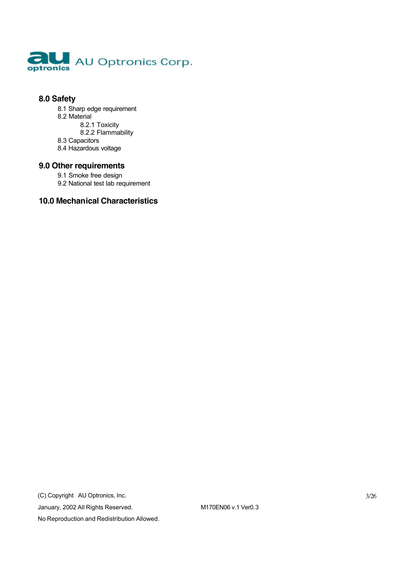

#### **8.0 Safety**

- 8.1 Sharp edge requirement
- 8.2 Material
	- 8.2.1 Toxicity
	- 8.2.2 Flammability
- 8.3 Capacitors
- 8.4 Hazardous voltage

#### **9.0 Other requirements**

- 9.1 Smoke free design
- 9.2 National test lab requirement

#### **10.0 Mechanical Characteristics**

(C) Copyright AU Optronics, Inc. January, 2002 All Rights Reserved. M170EN06 v.1 Ver0.3 No Reproduction and Redistribution Allowed.

3/26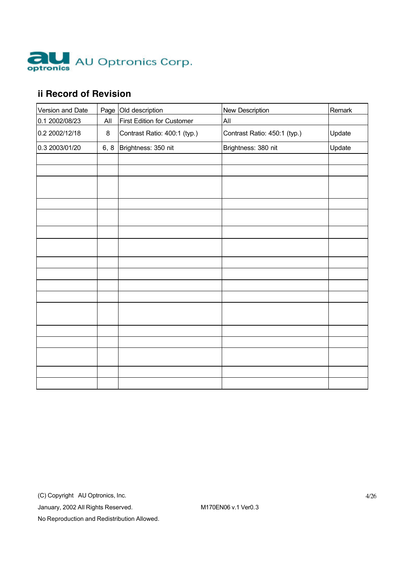

# **ii Record of Revision**

| Version and Date |      | Page Old description              | <b>New Description</b>       | Remark |
|------------------|------|-----------------------------------|------------------------------|--------|
| 0.1 2002/08/23   | All  | <b>First Edition for Customer</b> | All                          |        |
| 0.2 2002/12/18   | 8    | Contrast Ratio: 400:1 (typ.)      | Contrast Ratio: 450:1 (typ.) | Update |
| 0.3 2003/01/20   | 6, 8 | Brightness: 350 nit               | Brightness: 380 nit          | Update |
|                  |      |                                   |                              |        |
|                  |      |                                   |                              |        |
|                  |      |                                   |                              |        |
|                  |      |                                   |                              |        |
|                  |      |                                   |                              |        |
|                  |      |                                   |                              |        |
|                  |      |                                   |                              |        |
|                  |      |                                   |                              |        |
|                  |      |                                   |                              |        |
|                  |      |                                   |                              |        |
|                  |      |                                   |                              |        |
|                  |      |                                   |                              |        |
|                  |      |                                   |                              |        |
|                  |      |                                   |                              |        |
|                  |      |                                   |                              |        |
|                  |      |                                   |                              |        |
|                  |      |                                   |                              |        |

(C) Copyright AU Optronics, Inc.

January, 2002 All Rights Reserved. M170EN06 v.1 Ver0.3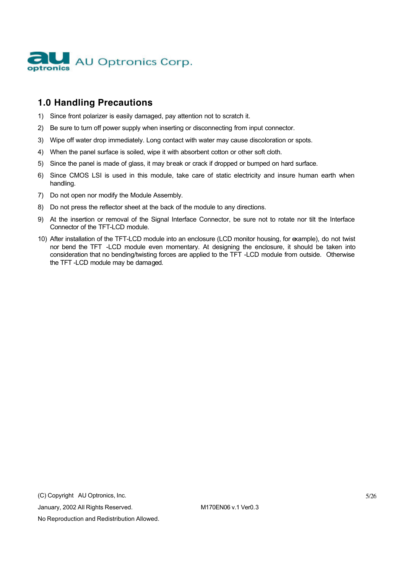

# **1.0 Handling Precautions**

- 1) Since front polarizer is easily damaged, pay attention not to scratch it.
- 2) Be sure to turn off power supply when inserting or disconnecting from input connector.
- 3) Wipe off water drop immediately. Long contact with water may cause discoloration or spots.
- 4) When the panel surface is soiled, wipe it with absorbent cotton or other soft cloth.
- 5) Since the panel is made of glass, it may break or crack if dropped or bumped on hard surface.
- 6) Since CMOS LSI is used in this module, take care of static electricity and insure human earth when handling.
- 7) Do not open nor modify the Module Assembly.
- 8) Do not press the reflector sheet at the back of the module to any directions.
- 9) At the insertion or removal of the Signal Interface Connector, be sure not to rotate nor tilt the Interface Connector of the TFT-LCD module.
- 10) After installation of the TFT-LCD module into an enclosure (LCD monitor housing, for example), do not twist nor bend the TFT -LCD module even momentary. At designing the enclosure, it should be taken into consideration that no bending/twisting forces are applied to the TFT -LCD module from outside. Otherwise the TFT -LCD module may be damaged.

(C) Copyright AU Optronics, Inc.

January, 2002 All Rights Reserved. M170EN06 v.1 Ver0.3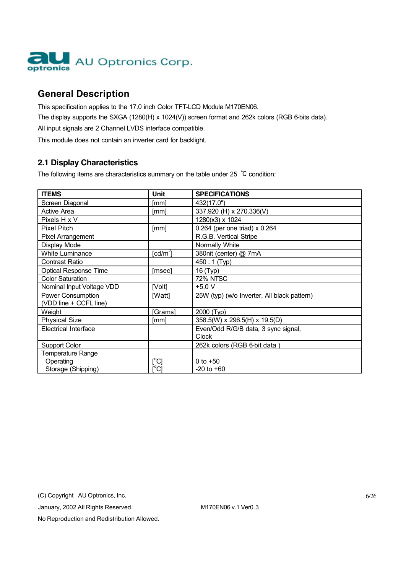

# **General Description**

This specification applies to the 17.0 inch Color TFT-LCD Module M170EN06. The display supports the SXGA (1280(H) x 1024(V)) screen format and 262k colors (RGB 6-bits data). All input signals are 2 Channel LVDS interface compatible.

This module does not contain an inverter card for backlight.

## **2.1 Display Characteristics**

The following items are characteristics summary on the table under 25 °C condition:

| <b>ITEMS</b>                                | <b>Unit</b>           | <b>SPECIFICATIONS</b>                       |
|---------------------------------------------|-----------------------|---------------------------------------------|
| Screen Diagonal                             | [mm]                  | 432(17.0")                                  |
| Active Area                                 | [mm]                  | 337.920 (H) x 270.336(V)                    |
| Pixels H x V                                |                       | 1280(x3) x 1024                             |
| <b>Pixel Pitch</b>                          | [mm]                  | 0.264 (per one triad) $\times$ 0.264        |
| <b>Pixel Arrangement</b>                    |                       | R.G.B. Vertical Stripe                      |
| Display Mode                                |                       | Normally White                              |
| <b>White Luminance</b>                      | [ $cd/m2$ ]           | 380nit (center) @ 7mA                       |
| <b>Contrast Ratio</b>                       |                       | 450 : 1 (Typ)                               |
| <b>Optical Response Time</b>                | [msec]                | 16 (Typ)                                    |
| <b>Color Saturation</b>                     |                       | 72% NTSC                                    |
| Nominal Input Voltage VDD                   | [Volt]                | $+5.0V$                                     |
| Power Consumption<br>(VDD line + CCFL line) | [Watt]                | 25W (typ) (w/o Inverter, All black pattern) |
| Weight                                      | [Grams]               | 2000 (Typ)                                  |
| <b>Physical Size</b>                        | [mm]                  | 358.5(W) x 296.5(H) x 19.5(D)               |
| <b>Electrical Interface</b>                 |                       | Even/Odd R/G/B data, 3 sync signal,         |
|                                             |                       | Clock                                       |
| <b>Support Color</b>                        |                       | 262k colors (RGB 6-bit data)                |
| <b>Temperature Range</b>                    |                       |                                             |
| Operating                                   | $\rm [^{\circ}\rm C]$ | 0 to $+50$                                  |
| Storage (Shipping)                          | [°C]                  | $-20$ to $+60$                              |

(C) Copyright AU Optronics, Inc.

January, 2002 All Rights Reserved. M170EN06 v.1 Ver0.3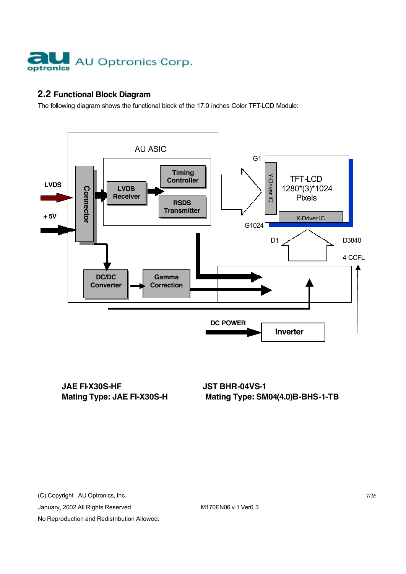

# **2.2 Functional Block Diagram**

The following diagram shows the functional block of the 17.0 inches Color TFT-LCD Module:



**JAE FIX30S-HF JST BHR-04VS-1** 

(C) Copyright AU Optronics, Inc.

January, 2002 All Rights Reserved. M170EN06 v.1 Ver0.3

No Reproduction and Redistribution Allowed.

7/26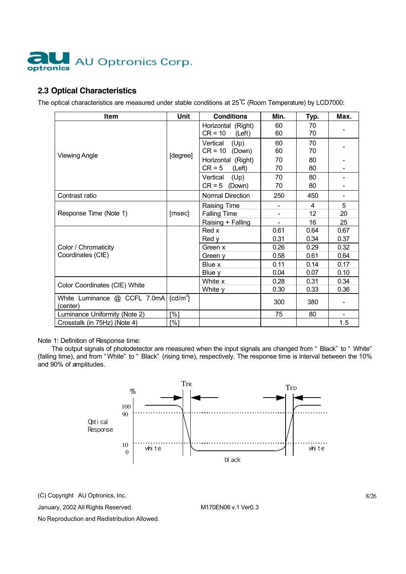

#### **2.3 Optical Characteristics**

The optical characteristics are measured under stable conditions at 25℃ (Room Temperature) by LCD7000:

| <b>Item</b>                               | Unit                   | <b>Conditions</b>                                        | Min.                     | Typ.          | Max.          |  |
|-------------------------------------------|------------------------|----------------------------------------------------------|--------------------------|---------------|---------------|--|
|                                           |                        | Horizontal (Right)<br>$CR = 10$<br>(Left)                | 60<br>60                 | 70<br>70      |               |  |
|                                           |                        | Vertical<br>(Up)<br>$CR = 10$ (Down)                     | 60<br>60                 | 70<br>70      |               |  |
| <b>Viewing Angle</b>                      | [degree]               | Horizontal (Right)<br>$CR = 5$<br>(Left)                 | 70<br>70                 | 80<br>80      |               |  |
|                                           |                        | (Up)<br>Vertical<br>$CR = 5$<br>(Down)                   | 70<br>70                 | 80<br>80      |               |  |
| Contrast ratio                            |                        | Normal Direction                                         | 250                      | 450           | -             |  |
| Response Time (Note 1)                    | [msec]                 | Raising Time<br><b>Falling Time</b><br>Raising + Falling | $\overline{\phantom{0}}$ | 4<br>12<br>16 | 5<br>20<br>25 |  |
|                                           |                        | Red x<br>Red y                                           | 0.61<br>0.31             | 0.64<br>0.34  | 0.67<br>0.37  |  |
| Color / Chromaticity<br>Coordinates (CIE) |                        | Green x<br>Green y                                       | 0.26<br>0.58             | 0.29<br>0.61  | 0.32<br>0.64  |  |
|                                           |                        | Blue x<br>Blue y                                         | 0.11<br>0.04             | 0.14<br>0.07  | 0.17<br>0.10  |  |
| Color Coordinates (CIE) White             |                        | White x<br>White y                                       | 0.28<br>0.30             | 0.31<br>0.33  | 0.34<br>0.36  |  |
| White Luminance @ CCFL 7.0mA<br>(center)  | $\lceil cd/m^2 \rceil$ |                                                          | 300                      | 380           |               |  |
| Luminance Uniformity (Note 2)             | [%]                    |                                                          | 75                       | 80            |               |  |
| Crosstalk (in 75Hz) (Note 4)              | [%]                    |                                                          |                          |               | 1.5           |  |

Note 1: Definition of Response time:

The output signals of photodetector are measured when the input signals are changed from " Black" to " White" (falling time), and from " White" to " Black" (rising time), respectively. The response time is interval between the 10% and 90% of amplitudes.



(C) Copyright AU Optronics, Inc.

January, 2002 All Rights Reserved. M170EN06 v.1 Ver0.3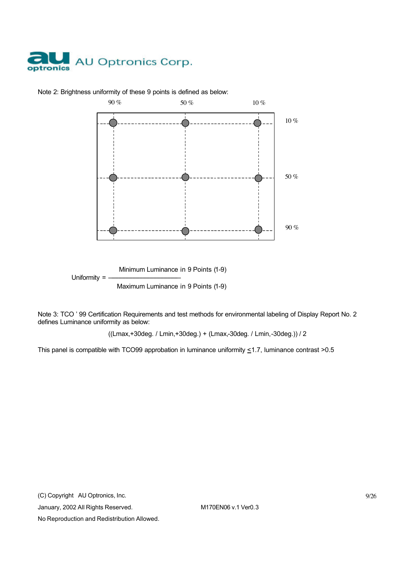



Note 2: Brightness uniformity of these 9 points is defined as below:

Maximum Luminance in 9 Points (1-9)

Note 3: TCO ' 99 Certification Requirements and test methods for environmental labeling of Display Report No. 2 defines Luminance uniformity as below:

((Lmax,+30deg. / Lmin,+30deg.) + (Lmax,-30deg. / Lmin,-30deg.)) / 2

This panel is compatible with TCO99 approbation in luminance uniformity  $\leq$ 1.7, luminance contrast >0.5

(C) Copyright AU Optronics, Inc.

January, 2002 All Rights Reserved. M170EN06 v.1 Ver0.3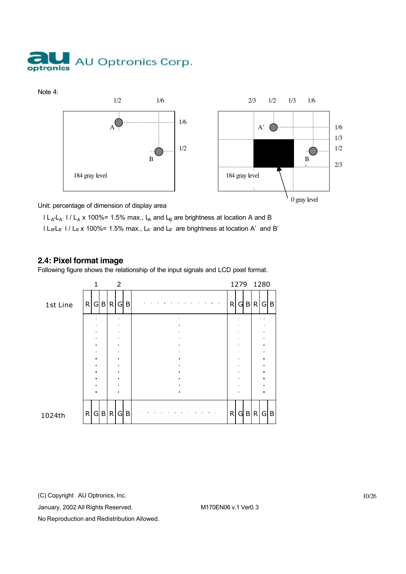



Unit: percentage of dimension of display area

 $l L_A-L_{A'}$  l /  $L_A$  x 100%= 1.5% max.,  $L_A$  and  $L_B$  are brightness at location A and B  $l \lfloor \frac{B-1}{B} \rfloor$  /  $l_B$  x 100%= 1.5% max.,  $l_A$ ' and  $l_B$ ' are brightness at location A' and B'

#### **2.4: Pixel format image**

Following figure shows the relationship of the input signals and LCD pixel format.



(C) Copyright AU Optronics, Inc.

January, 2002 All Rights Reserved. M170EN06 v.1 Ver0.3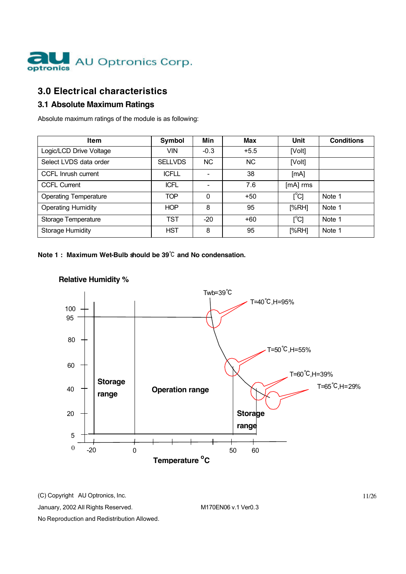

# **3.0 Electrical characteristics**

# **3.1 Absolute Maximum Ratings**

Absolute maximum ratings of the module is as following:

| <b>Item</b>                  | Symbol         | Min       | <b>Max</b> | Unit          | <b>Conditions</b> |
|------------------------------|----------------|-----------|------------|---------------|-------------------|
| Logic/LCD Drive Voltage      | <b>VIN</b>     | $-0.3$    | $+5.5$     | [Volt]        |                   |
| Select LVDS data order       | <b>SELLVDS</b> | <b>NC</b> | <b>NC</b>  | [Volt]        |                   |
| CCFL Inrush current          | <b>ICFLL</b>   |           | 38         | [mA]          |                   |
| <b>CCFL Current</b>          | <b>ICFL</b>    |           | 7.6        | [mA] rms      |                   |
| <b>Operating Temperature</b> | <b>TOP</b>     | $\Omega$  | $+50$      | $[^{\circ}C]$ | Note 1            |
| <b>Operating Humidity</b>    | <b>HOP</b>     | 8         | 95         | [%RH]         | Note 1            |
| <b>Storage Temperature</b>   | <b>TST</b>     | $-20$     | $+60$      | $[^{\circ}C]$ | Note 1            |
| <b>Storage Humidity</b>      | <b>HST</b>     | 8         | 95         | [%RH]         | Note 1            |

**Note 1 : Maximum Wet-Bulb should be 39**℃ **and No condensation.**



### **Relative Humidity %**

(C) Copyright AU Optronics, Inc.

January, 2002 All Rights Reserved. M170EN06 v.1 Ver0.3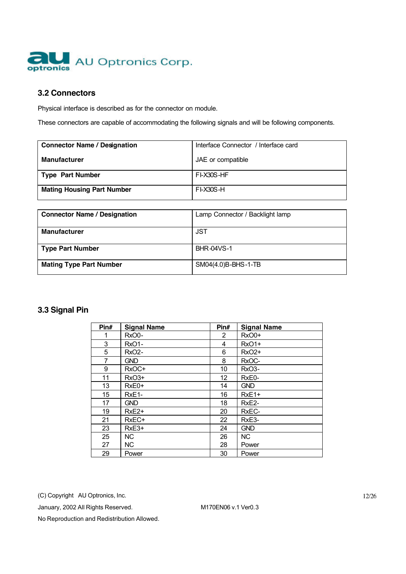

#### **3.2 Connectors**

Physical interface is described as for the connector on module.

These connectors are capable of accommodating the following signals and will be following components.

| <b>Connector Name / Designation</b> | Interface Connector / Interface card |
|-------------------------------------|--------------------------------------|
| <b>Manufacturer</b>                 | JAE or compatible                    |
| Type Part Number                    | FI-X30S-HF                           |
| <b>Mating Housing Part Number</b>   | $FI-X30S-H$                          |

| <b>Connector Name / Designation</b> | Lamp Connector / Backlight lamp |
|-------------------------------------|---------------------------------|
| <b>Manufacturer</b>                 | JST                             |
| <b>Type Part Number</b>             | <b>BHR-04VS-1</b>               |
| <b>Mating Type Part Number</b>      | SM04(4.0)B-BHS-1-TB             |

## **3.3 Signal Pin**

| Pin# | <b>Signal Name</b> | Pin#           | <b>Signal Name</b> |
|------|--------------------|----------------|--------------------|
| 1    | RxO0-              | $\overline{2}$ | $RxO0+$            |
| 3    | RxO1-              | 4              | <b>RxO1+</b>       |
| 5    | <b>RxO2-</b>       | 6              | <b>RxO2+</b>       |
| 7    | <b>GND</b>         | 8              | RxOC-              |
| 9    | RxOC+              | 10             | RxO <sub>3</sub> - |
| 11   | $RxO3+$            | 12             | RxE0-              |
| 13   | $RxE0+$            | 14             | <b>GND</b>         |
| 15   | RxE1-              | 16             | RxE1+              |
| 17   | <b>GND</b>         | 18             | RxE <sub>2</sub> - |
| 19   | $RxE2+$            | 20             | RxEC-              |
| 21   | RxEC+              | 22             | RxE3-              |
| 23   | $RxE3+$            | 24             | <b>GND</b>         |
| 25   | <b>NC</b>          | 26             | NC.                |
| 27   | NC.                | 28             | Power              |
| 29   | Power              | 30             | Power              |

(C) Copyright AU Optronics, Inc.

January, 2002 All Rights Reserved. M170EN06 v.1 Ver0.3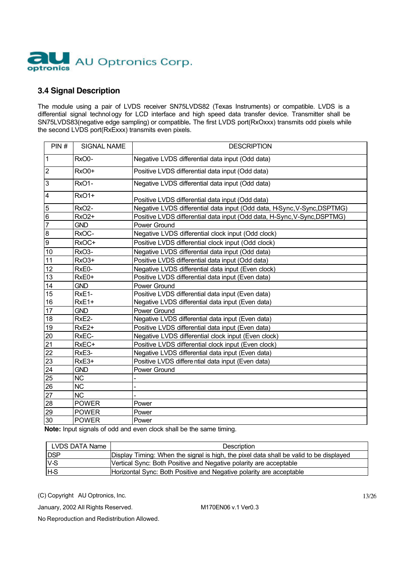

#### **3.4 Signal Description**

The module using a pair of LVDS receiver SN75LVDS82 (Texas Instruments) or compatible. LVDS is a differential signal technology for LCD interface and high speed data transfer device. Transmitter shall be SN75LVDS83(negative edge sampling) or compatible**.** The first LVDS port(RxOxxx) transmits odd pixels while the second LVDS port(RxExxx) transmits even pixels.

| PIN#           | <b>SIGNAL NAME</b> | <b>DESCRIPTION</b>                                                       |
|----------------|--------------------|--------------------------------------------------------------------------|
| $\mathbf{1}$   | RxO0-              | Negative LVDS differential data input (Odd data)                         |
| $\overline{2}$ | RxO0+              | Positive LVDS differential data input (Odd data)                         |
| 3              | RxO1-              | Negative LVDS differential data input (Odd data)                         |
| 4              | RxO1+              | Positive LVDS differential data input (Odd data)                         |
| 5              | RxO <sub>2</sub> - | Negative LVDS differential data input (Odd data, HSync, V-Sync, DSPTMG)  |
| 6              | <b>RxO2+</b>       | Positive LVDS differential data input (Odd data, H-Sync, V-Sync, DSPTMG) |
| $\overline{7}$ | <b>GND</b>         | Power Ground                                                             |
| 8              | RxOC-              | Negative LVDS differential clock input (Odd clock)                       |
| 9              | RxOC+              | Positive LVDS differential clock input (Odd clock)                       |
| 10             | RxO <sub>3</sub> - | Negative LVDS differential data input (Odd data)                         |
| 11             | RxO3+              | Positive LVDS differential data input (Odd data)                         |
| 12             | RxE0-              | Negative LVDS differential data input (Even clock)                       |
| 13             | RxE0+              | Positive LVDS differential data input (Even data)                        |
| 14             | <b>GND</b>         | Power Ground                                                             |
| 15             | RxE1-              | Positive LVDS differential data input (Even data)                        |
| 16             | RxE1+              | Negative LVDS differential data input (Even data)                        |
| 17             | <b>GND</b>         | Power Ground                                                             |
| 18             | RxE2-              | Negative LVDS differential data input (Even data)                        |
| 19             | RxE <sub>2+</sub>  | Positive LVDS differential data input (Even data)                        |
| 20             | RxEC-              | Negative LVDS differential clock input (Even clock)                      |
| 21             | RxEC+              | Positive LVDS differential clock input (Even clock)                      |
| 22             | RxE3-              | Negative LVDS differential data input (Even data)                        |
| 23             | RxE3+              | Positive LVDS differe ntial data input (Even data)                       |
| 24             | <b>GND</b>         | Power Ground                                                             |
| 25             | <b>NC</b>          |                                                                          |
| 26             | <b>NC</b>          |                                                                          |
| 27             | <b>NC</b>          |                                                                          |
| 28             | <b>POWER</b>       | Power                                                                    |
| 29             | <b>POWER</b>       | Power                                                                    |
| 30             | <b>POWER</b>       | Power                                                                    |

**Note:** Input signals of odd and even clock shall be the same timing.

| LVDS DATA Name | <b>Description</b>                                                                     |
|----------------|----------------------------------------------------------------------------------------|
| <b>DSP</b>     | Display Timing: When the signal is high, the pixel data shall be valid to be displayed |
| $V-S$          | Vertical Sync: Both Positive and Negative polarity are acceptable                      |
| <b>H</b> -S    | Horizontal Sync: Both Positive and Negative polarity are acceptable                    |

(C) Copyright AU Optronics, Inc.

January, 2002 All Rights Reserved. M170EN06 v.1 Ver0.3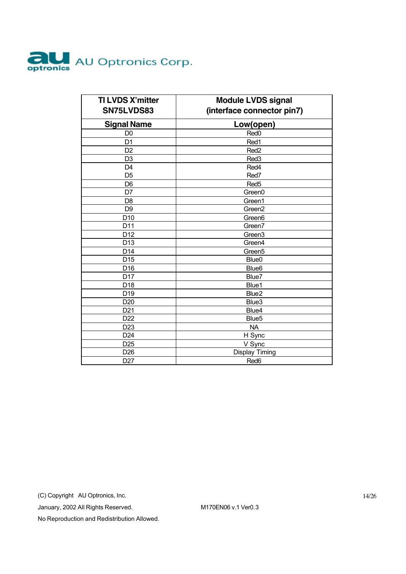

| <b>TI LVDS X'mitter</b><br>SN75LVDS83 | <b>Module LVDS signal</b><br>(interface connector pin7) |  |
|---------------------------------------|---------------------------------------------------------|--|
| <b>Signal Name</b>                    | Low(open)                                               |  |
| D <sub>0</sub>                        | Red <sub>0</sub>                                        |  |
| D <sub>1</sub>                        | Red1                                                    |  |
| D <sub>2</sub>                        | Red <sub>2</sub>                                        |  |
| D <sub>3</sub>                        | Red <sub>3</sub>                                        |  |
| D <sub>4</sub>                        | Red4                                                    |  |
| D <sub>5</sub>                        | Red7                                                    |  |
| D <sub>6</sub>                        | Red <sub>5</sub>                                        |  |
| D7                                    | Green0                                                  |  |
| D <sub>8</sub>                        | Green1                                                  |  |
| D <sub>9</sub>                        | Green <sub>2</sub>                                      |  |
| D <sub>10</sub>                       | Green <sub>6</sub>                                      |  |
| D11                                   | Green7                                                  |  |
| D12                                   | Green3                                                  |  |
| D <sub>13</sub>                       | Green4                                                  |  |
| D <sub>14</sub>                       | Green <sub>5</sub>                                      |  |
| D <sub>15</sub>                       | Blue <sub>0</sub>                                       |  |
| D16                                   | Blue <sub>6</sub>                                       |  |
| D <sub>17</sub>                       | Blue7                                                   |  |
| D18                                   | Blue1                                                   |  |
| D <sub>19</sub>                       | Blue <sub>2</sub>                                       |  |
| D <sub>20</sub>                       | Blue3                                                   |  |
| D <sub>21</sub>                       | Blue4                                                   |  |
| D <sub>22</sub>                       | Blue <sub>5</sub>                                       |  |
| D <sub>23</sub>                       | <b>NA</b>                                               |  |
| D <sub>24</sub>                       | H Sync                                                  |  |
| D <sub>25</sub>                       | V Sync                                                  |  |
| D <sub>26</sub>                       | <b>Display Timing</b>                                   |  |
| D <sub>27</sub>                       | Red6                                                    |  |

(C) Copyright AU Optronics, Inc.

January, 2002 All Rights Reserved. M170EN06 v.1 Ver0.3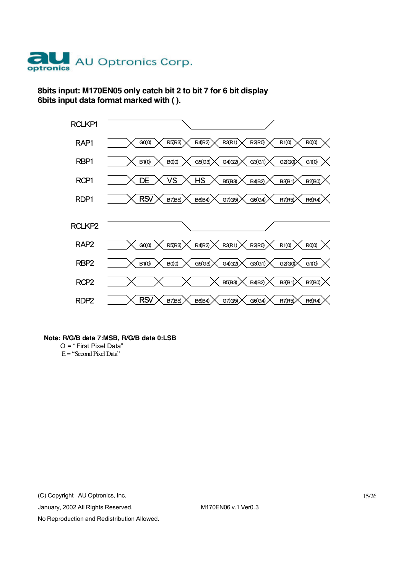

## **8bits input: M170EN05 only catch bit 2 to bit 7 for 6 bit display 6bits input data format marked with ( ).**



#### **Note: R/G/B data 7:MSB, R/G/B data 0:LSB**

O = " First Pixel Data"  $E =$  "Second Pixel Data"

(C) Copyright AU Optronics, Inc.

January, 2002 All Rights Reserved. M170EN06 v.1 Ver0.3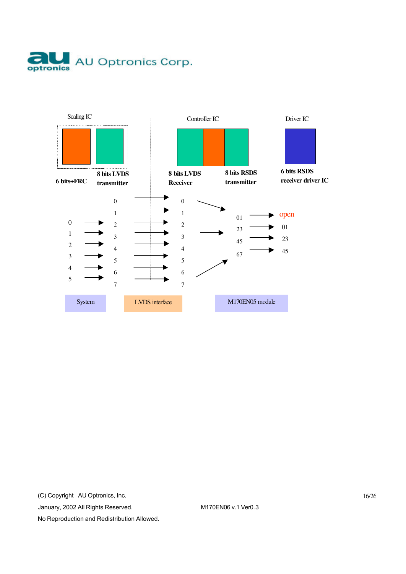



(C) Copyright AU Optronics, Inc.

January, 2002 All Rights Reserved. M170EN06 v.1 Ver0.3

No Reproduction and Redistribution Allowed.

16/26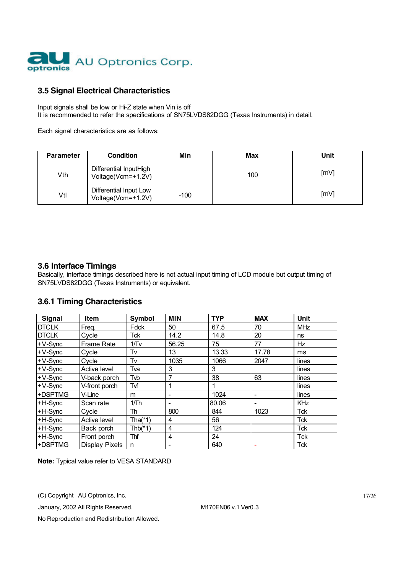

#### **3.5 Signal Electrical Characteristics**

Input signals shall be low or Hi-Z state when Vin is off It is recommended to refer the specifications of SN75LVDS82DGG (Texas Instruments) in detail.

Each signal characteristics are as follows;

| <b>Parameter</b> | <b>Condition</b>                             | Min    | Max | Unit |
|------------------|----------------------------------------------|--------|-----|------|
| Vth              | Differential InputHigh<br>Voltage(Vcm=+1.2V) |        | 100 | [mV] |
| Vtl              | Differential Input Low<br>Voltage(Vcm=+1.2V) | $-100$ |     | [mV] |

#### **3.6 Interface Timings**

Basically, interface timings described here is not actual input timing of LCD module but output timing of SN75LVDS82DGG (Texas Instruments) or equivalent.

#### **3.6.1 Timing Characteristics**

| <b>Signal</b> | <b>Item</b>           | Symbol    | <b>MIN</b> | <b>TYP</b> | <b>MAX</b> | <b>Unit</b> |
|---------------|-----------------------|-----------|------------|------------|------------|-------------|
| <b>DTCLK</b>  | Freq.                 | Fdck      | 50         | 67.5       | 70         | <b>MHz</b>  |
| <b>DTCLK</b>  | Cycle                 | Tck       | 14.2       | 14.8       | 20         | ns          |
| $+V-Sync$     | <b>Frame Rate</b>     | 1/Tv      | 56.25      | 75         | 77         | Hz          |
| $+V-Sync$     | Cycle                 | Tv        | 13         | 13.33      | 17.78      | ms          |
| $+V-Sync$     | Cycle                 | Tv        | 1035       | 1066       | 2047       | lines       |
| $+V-Sync$     | Active level          | Tva       | 3          | 3          |            | lines       |
| $+V-Sync$     | V-back porch          | Tvb       | 7          | 38         | 63         | lines       |
| $+V-Sync$     | V-front porch         | Tvf       | 1          |            |            | lines       |
| +DSPTMG       | V-Line                | m         |            | 1024       |            | lines       |
| +H-Sync       | Scan rate             | 1/Th      |            | 80.06      |            | KHz         |
| +H-Sync       | Cycle                 | Th        | 800        | 844        | 1023       | <b>Tck</b>  |
| +H-Sync       | Active level          | Tha(*1)   | 4          | 56         |            | <b>Tck</b>  |
| +H-Sync       | Back porch            | $Thb(*1)$ | 4          | 124        |            | <b>Tck</b>  |
| +H-Sync       | Front porch           | Thf       | 4          | 24         |            | <b>Tck</b>  |
| +DSPTMG       | <b>Display Pixels</b> | n         |            | 640        |            | Tck         |

**Note:** Typical value refer to VESA STANDARD

(C) Copyright AU Optronics, Inc.

January, 2002 All Rights Reserved. M170EN06 v.1 Ver0.3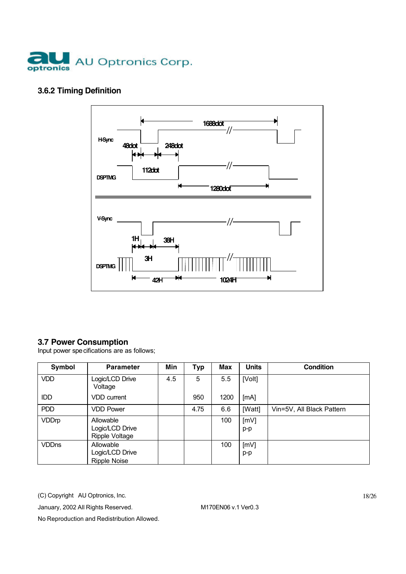

# **3.6.2 Timing Definition**



# **3.7 Power Consumption**

Input power specifications are as follows;

| Symbol       | <b>Parameter</b>                                    | Min | <b>Typ</b> | <b>Max</b> | <b>Units</b> | <b>Condition</b>          |
|--------------|-----------------------------------------------------|-----|------------|------------|--------------|---------------------------|
| <b>VDD</b>   | Logic/LCD Drive<br>Voltage                          | 4.5 | 5          | 5.5        | [Volt]       |                           |
| IDD          | <b>VDD</b> current                                  |     | 950        | 1200       | [mA]         |                           |
| <b>PDD</b>   | <b>VDD Power</b>                                    |     | 4.75       | 6.6        | [Watt]       | Vin=5V, All Black Pattern |
| <b>VDDrp</b> | Allowable<br>Logic/LCD Drive<br>Ripple Voltage      |     |            | 100        | [mV]<br>p-p  |                           |
| <b>VDDns</b> | Allowable<br>Logic/LCD Drive<br><b>Ripple Noise</b> |     |            | 100        | [mV]<br>p-p  |                           |

(C) Copyright AU Optronics, Inc.

January, 2002 All Rights Reserved. M170EN06 v.1 Ver0.3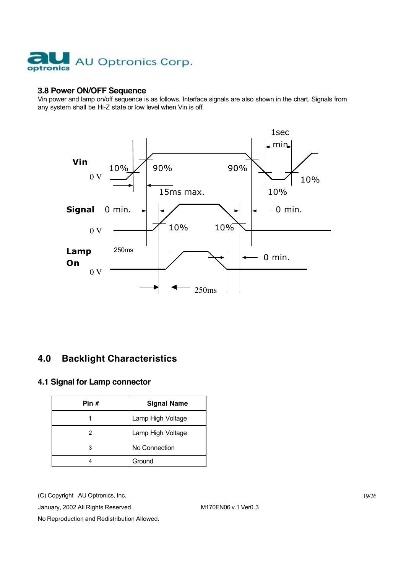

#### **3.8 Power ON/OFF Sequence**

Vin power and lamp on/off sequence is as follows. Interface signals are also shown in the chart. Signals from any system shall be Hi-Z state or low level when Vin is off.



# **4.0 Backlight Characteristics**

#### **4.1 Signal for Lamp connector**

| Pin # | <b>Signal Name</b> |
|-------|--------------------|
|       | Lamp High Voltage  |
| 2     | Lamp High Voltage  |
| 3     | No Connection      |
|       | Ground             |

(C) Copyright AU Optronics, Inc.

January, 2002 All Rights Reserved. M170EN06 v.1 Ver0.3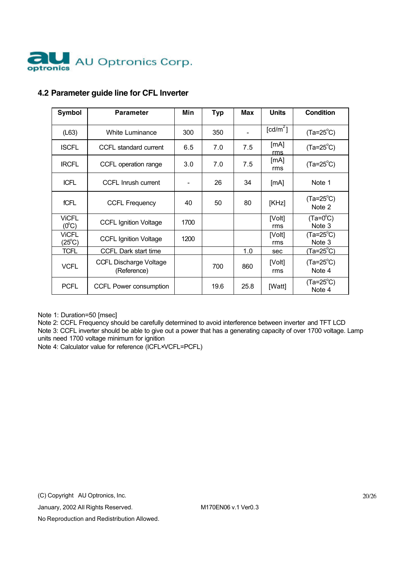

| <b>Symbol</b>                   | <b>Parameter</b>                             | Min                          | <b>Typ</b> | Max  | <b>Units</b>           | Condition                    |
|---------------------------------|----------------------------------------------|------------------------------|------------|------|------------------------|------------------------------|
| (L63)                           | <b>White Luminance</b>                       | 300                          | 350        |      | $\lceil cd/m^2 \rceil$ | $(Ta=25^{\circ}C)$           |
| <b>ISCFL</b>                    | CCFL standard current                        | 6.5                          | 7.0        | 7.5  | [mA]<br>rms            | $(Ta=25^{\circ}C)$           |
| <b>IRCFL</b>                    | CCFL operation range                         | 3.0                          | 7.0        | 7.5  | [mA]<br>rms            | $(Ta=25^{\circ}C)$           |
| <b>ICFL</b>                     | CCFL Inrush current                          | $\qquad \qquad \blacksquare$ | 26         | 34   | [mA]                   | Note 1                       |
| fCFL                            | <b>CCFL Frequency</b>                        | 40                           | 50         | 80   | [KHz]                  | $(Ta=25^{\circ}C)$<br>Note 2 |
| <b>ViCFL</b><br>$(0^{\circ}C)$  | <b>CCFL Ignition Voltage</b>                 | 1700                         |            |      | [Volt]<br>rms          | $(Ta=0^{\circ}C)$<br>Note 3  |
| <b>VICFL</b><br>$(25^{\circ}C)$ | <b>CCFL Ignition Voltage</b>                 | 1200                         |            |      | [Volt]<br>rms          | $(Ta=25^{\circ}C)$<br>Note 3 |
| <b>TCFL</b>                     | CCFL Dark start time                         |                              |            | 1.0  | sec                    | $(Ta=25^{\circ}C)$           |
| <b>VCFL</b>                     | <b>CCFL Discharge Voltage</b><br>(Reference) |                              | 700        | 860  | [Volt]<br>rms          | $(Ta=25^{\circ}C)$<br>Note 4 |
| <b>PCFL</b>                     | CCFL Power consumption                       |                              | 19.6       | 25.8 | [Watt]                 | $(Ta=25^{\circ}C)$<br>Note 4 |

### **4.2 Parameter guide line for CFL Inverter**

Note 1: Duration=50 [msec]

Note 2: CCFL Frequency should be carefully determined to avoid interference between inverter and TFT LCD Note 3: CCFL inverter should be able to give out a power that has a generating capacity of over 1700 voltage. Lamp units need 1700 voltage minimum for ignition

Note 4: Calculator value for reference (ICFL×VCFL=PCFL)

(C) Copyright AU Optronics, Inc.

January, 2002 All Rights Reserved. M170EN06 v.1 Ver0.3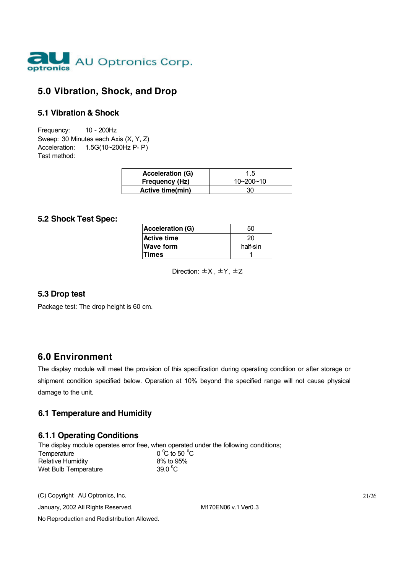

# **5.0 Vibration, Shock, and Drop**

#### **5.1 Vibration & Shock**

Frequency: 10 - 200Hz Sweep: 30 Minutes each Axis (X, Y, Z) Acceleration: 1.5G(10~200Hz P- P) Test method:

| <b>Acceleration (G)</b> |                 |
|-------------------------|-----------------|
| <b>Frequency (Hz)</b>   | $10 - 200 - 10$ |
| <b>Active time(min)</b> |                 |

#### **5.2 Shock Test Spec:**

| Acceleration (G) | 50       |
|------------------|----------|
| Active time      | 20.      |
| <b>Wave form</b> | half-sin |
| lTimes           |          |

Direction: ±X , ±Y, ±Z

#### **5.3 Drop test**

Package test: The drop height is 60 cm.

## **6.0 Environment**

The display module will meet the provision of this specification during operating condition or after storage or shipment condition specified below. Operation at 10% beyond the specified range will not cause physical damage to the unit.

#### **6.1 Temperature and Humidity**

#### **6.1.1 Operating Conditions**

The display module operates error free, when operated under the following conditions; Temperature C to 50 $^{\circ}$ C Relative Humidity 8% to 95% Wet Bulb Temperature 39.0 $\degree$ C

(C) Copyright AU Optronics, Inc.

January, 2002 All Rights Reserved. M170EN06 v.1 Ver0.3

No Reproduction and Redistribution Allowed.

21/26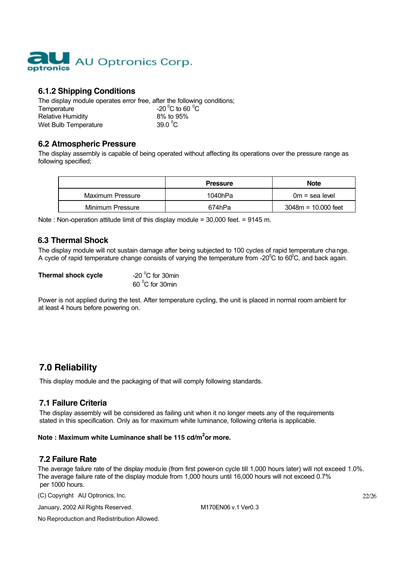

### **6.1.2 Shipping Conditions**

The display module operates error free, after the following conditions; Temperature C to 60  $^{\circ}$ C Relative Humidity 8% to 95% Wet Bulb Temperature 39.0 $\mathrm{^0C}$ 

#### **6.2 Atmospheric Pressure**

The display assembly is capable of being operated without affecting its operations over the pressure range as following specified;

|                  | <b>Pressure</b> | <b>Note</b>           |
|------------------|-----------------|-----------------------|
| Maximum Pressure | 1040hPa         | $0m =$ sea level      |
| Minimum Pressure | 674hPa          | $3048m = 10.000$ feet |

Note : Non-operation attitude limit of this display module = 30,000 feet. = 9145 m.

#### **6.3 Thermal Shock**

The display module will not sustain damage after being subjected to 100 cycles of rapid temperature change. A cycle of rapid temperature change consists of varying the temperature from -20 $\rm{^0C}$  to 60 $\rm{^0C}$ , and back again.

| Thermal shock cycle | -20 $\mathrm{^0C}$ for 30min |
|---------------------|------------------------------|
|                     | 60 °C for 30min              |

Power is not applied during the test. After temperature cycling, the unit is placed in normal room ambient for at least 4 hours before powering on.

# **7.0 Reliability**

This display module and the packaging of that will comply following standards.

#### **7.1 Failure Criteria**

The display assembly will be considered as failing unit when it no longer meets any of the requirements stated in this specification. Only as for maximum white luminance, following criteria is applicable.

#### **Note : Maximum white Luminance shall be 115 cd/m<sup>2</sup> or more.**

#### **7.2 Failure Rate**

The average failure rate of the display module (from first power-on cycle till 1,000 hours later) will not exceed 1.0%. The average failure rate of the display module from 1,000 hours until 16,000 hours will not exceed 0.7% per 1000 hours.

(C) Copyright AU Optronics, Inc.

January, 2002 All Rights Reserved. M170EN06 v.1 Ver0.3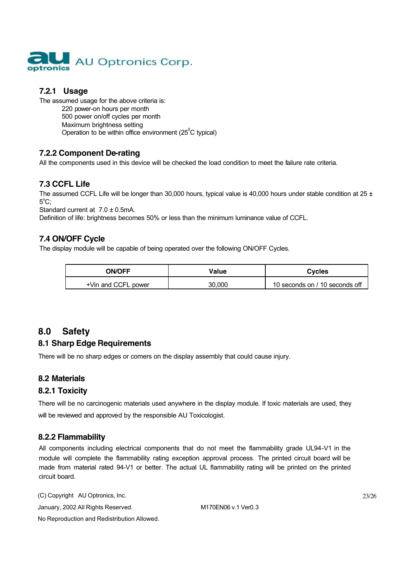

# **7.2.1 Usage**

The assumed usage for the above criteria is: 220 power-on hours per month 500 power on/off cycles per month Maximum brightness setting Operation to be within office environment (25 $\mathrm{^0C}$  typical)

## **7.2.2 Component De-rating**

All the components used in this device will be checked the load condition to meet the failure rate criteria.

## **7.3 CCFL Life**

The assumed CCFL Life will be longer than 30,000 hours, typical value is 40,000 hours under stable condition at  $25 \pm$  $5^{\circ}$ C;

Standard current at  $7.0 \pm 0.5$ mA.

Definition of life: brightness becomes 50% or less than the minimum luminance value of CCFL.

### **7.4 ON/OFF Cycle**

The display module will be capable of being operated over the following ON/OFF Cycles.

| <b>ON/OFF</b>       | Value  | <b>Cycles</b>                  |
|---------------------|--------|--------------------------------|
| +Vin and CCFL power | 30.000 | 10 seconds on / 10 seconds off |

# **8.0 Safety**

## **8.1 Sharp Edge Requirements**

There will be no sharp edges or comers on the display assembly that could cause injury.

## **8.2 Materials**

## **8.2.1 Toxicity**

There will be no carcinogenic materials used anywhere in the display module. If toxic materials are used, they will be reviewed and approved by the responsible AU Toxicologist.

## **8.2.2 Flammability**

All components including electrical components that do not meet the flammability grade UL94-V1 in the module will complete the flammability rating exception approval process. The printed circuit board will be made from material rated 94-V1 or better. The actual UL flammability rating will be printed on the printed circuit board.

(C) Copyright AU Optronics, Inc.

January, 2002 All Rights Reserved. M170EN06 v.1 Ver0.3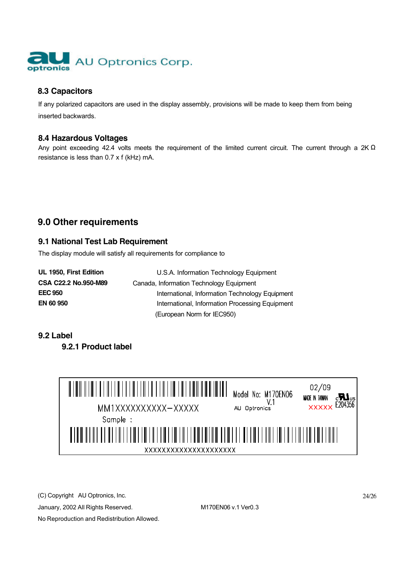

## **8.3 Capacitors**

If any polarized capacitors are used in the display assembly, provisions will be made to keep them from being inserted backwards.

#### **8.4 Hazardous Voltages**

Any point exceeding 42.4 volts meets the requirement of the limited current circuit. The current through a 2K  $\Omega$ resistance is less than 0.7 x f (kHz) mA.

# **9.0 Other requirements**

### **9.1 National Test Lab Requirement**

The display module will satisfy all requirements for compliance to

| UL 1950, First Edition | U.S.A. Information Technology Equipment         |
|------------------------|-------------------------------------------------|
| CSA C22.2 No.950-M89   | Canada, Information Technology Equipment        |
| <b>EEC 950</b>         | International, Information Technology Equipment |
| EN 60 950              | International, Information Processing Equipment |
|                        | (European Norm for IEC950)                      |

#### **9.2 Label**

**9.2.1 Product label**



(C) Copyright AU Optronics, Inc.

January, 2002 All Rights Reserved. M170EN06 v.1 Ver0.3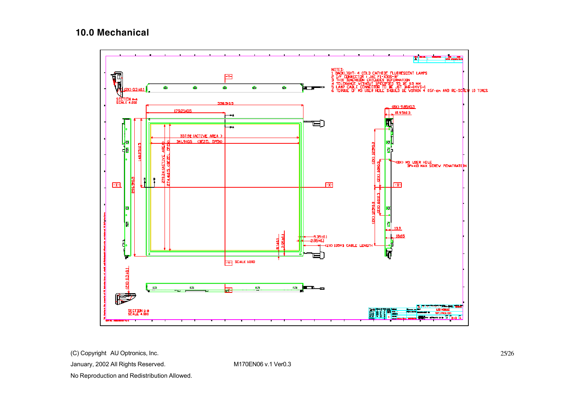# **10.0 Mechanical**



(C) Copyright AU Optronics, Inc.

January, 2002 All Rights Reserved. M170EN06 v.1 Ver0.3